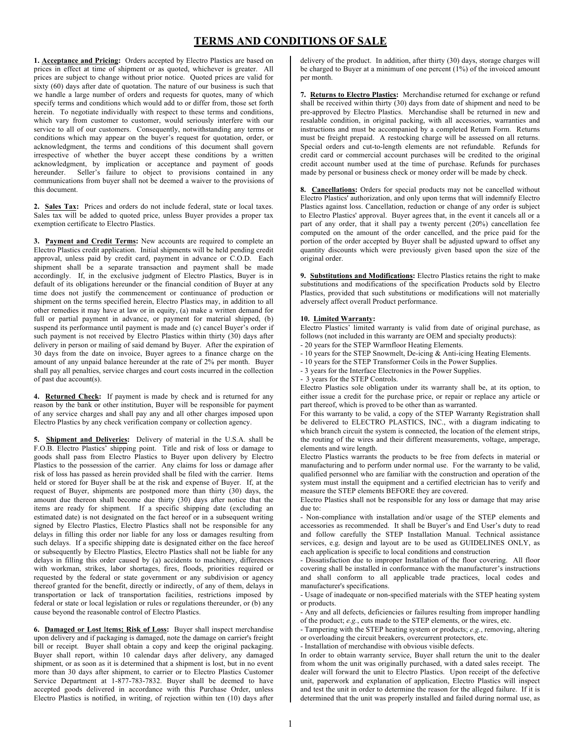# **TERMS AND CONDITIONS OF SALE**

**1. Acceptance and Pricing:** Orders accepted by Electro Plastics are based on prices in effect at time of shipment or as quoted, whichever is greater. All prices are subject to change without prior notice. Quoted prices are valid for sixty (60) days after date of quotation. The nature of our business is such that we handle a large number of orders and requests for quotes, many of which specify terms and conditions which would add to or differ from, those set forth herein. To negotiate individually with respect to these terms and conditions, which vary from customer to customer, would seriously interfere with our service to all of our customers. Consequently, notwithstanding any terms or conditions which may appear on the buyer's request for quotation, order, or acknowledgment, the terms and conditions of this document shall govern irrespective of whether the buyer accept these conditions by a written acknowledgment, by implication or acceptance and payment of goods hereunder. Seller's failure to object to provisions contained in any communications from buyer shall not be deemed a waiver to the provisions of this document.

**2. Sales Tax:** Prices and orders do not include federal, state or local taxes. Sales tax will be added to quoted price, unless Buyer provides a proper tax exemption certificate to Electro Plastics.

**3. Payment and Credit Terms:** New accounts are required to complete an Electro Plastics credit application. Initial shipments will be held pending credit approval, unless paid by credit card, payment in advance or C.O.D. Each shipment shall be a separate transaction and payment shall be made accordingly. If, in the exclusive judgment of Electro Plastics, Buyer is in default of its obligations hereunder or the financial condition of Buyer at any time does not justify the commencement or continuance of production or shipment on the terms specified herein, Electro Plastics may, in addition to all other remedies it may have at law or in equity, (a) make a written demand for full or partial payment in advance, or payment for material shipped, (b) suspend its performance until payment is made and (c) cancel Buyer's order if such payment is not received by Electro Plastics within thirty (30) days after delivery in person or mailing of said demand by Buyer. After the expiration of 30 days from the date on invoice, Buyer agrees to a finance charge on the amount of any unpaid balance hereunder at the rate of 2% per month. Buyer shall pay all penalties, service charges and court costs incurred in the collection of past due account(s).

**4. Returned Check:** If payment is made by check and is returned for any reason by the bank or other institution, Buyer will be responsible for payment of any service charges and shall pay any and all other charges imposed upon Electro Plastics by any check verification company or collection agency.

**5. Shipment and Deliveries:** Delivery of material in the U.S.A. shall be F.O.B. Electro Plastics' shipping point. Title and risk of loss or damage to goods shall pass from Electro Plastics to Buyer upon delivery by Electro Plastics to the possession of the carrier. Any claims for loss or damage after risk of loss has passed as herein provided shall be filed with the carrier. Items held or stored for Buyer shall be at the risk and expense of Buyer. If, at the request of Buyer, shipments are postponed more than thirty (30) days, the amount due thereon shall become due thirty (30) days after notice that the items are ready for shipment. If a specific shipping date (excluding an estimated date) is not designated on the fact hereof or in a subsequent writing signed by Electro Plastics, Electro Plastics shall not be responsible for any delays in filling this order nor liable for any loss or damages resulting from such delays. If a specific shipping date is designated either on the face hereof or subsequently by Electro Plastics, Electro Plastics shall not be liable for any delays in filling this order caused by (a) accidents to machinery, differences with workman, strikes, labor shortages, fires, floods, priorities required or requested by the federal or state government or any subdivision or agency thereof granted for the benefit, directly or indirectly, of any of them, delays in transportation or lack of transportation facilities, restrictions imposed by federal or state or local legislation or rules or regulations thereunder, or (b) any cause beyond the reasonable control of Electro Plastics.

**6. Damaged or Lost** I**tems; Risk of Loss:** Buyer shall inspect merchandise upon delivery and if packaging is damaged, note the damage on carrier's freight bill or receipt. Buyer shall obtain a copy and keep the original packaging. Buyer shall report, within 10 calendar days after delivery, any damaged shipment, or as soon as it is determined that a shipment is lost, but in no event more than 30 days after shipment, to carrier or to Electro Plastics Customer Service Department at 1-877-783-7832. Buyer shall be deemed to have accepted goods delivered in accordance with this Purchase Order, unless Electro Plastics is notified, in writing, of rejection within ten (10) days after

delivery of the product. In addition, after thirty (30) days, storage charges will be charged to Buyer at a minimum of one percent (1%) of the invoiced amount per month.

**7. Returns to Electro Plastics:** Merchandise returned for exchange or refund shall be received within thirty  $(30)$  days from date of shipment and need to be pre-approved by Electro Plastics. Merchandise shall be returned in new and resalable condition, in original packing, with all accessories, warranties and instructions and must be accompanied by a completed Return Form. Returns must be freight prepaid. A restocking charge will be assessed on all returns. Special orders and cut-to-length elements are not refundable. Refunds for credit card or commercial account purchases will be credited to the original credit account number used at the time of purchase. Refunds for purchases made by personal or business check or money order will be made by check.

**8. Cancellations:** Orders for special products may not be cancelled without Electro Plastics' authorization, and only upon terms that will indemnify Electro Plastics against loss. Cancellation, reduction or change of any order is subject to Electro Plastics' approval. Buyer agrees that, in the event it cancels all or a part of any order, that it shall pay a twenty percent (20%) cancellation fee computed on the amount of the order cancelled, and the price paid for the portion of the order accepted by Buyer shall be adjusted upward to offset any quantity discounts which were previously given based upon the size of the original order.

**9. Substitutions and Modifications:** Electro Plastics retains the right to make substitutions and modifications of the specification Products sold by Electro Plastics, provided that such substitutions or modifications will not materially adversely affect overall Product performance.

## **10. Limited Warranty:**

Electro Plastics' limited warranty is valid from date of original purchase, as follows (not included in this warranty are OEM and specialty products):

- 20 years for the STEP Warmfloor Heating Elements.
- 10 years for the STEP Snowmelt, De-icing & Anti-icing Heating Elements.
- 10 years for the STEP Transformer Coils in the Power Supplies.
- 3 years for the Interface Electronics in the Power Supplies.
- 3 years for the STEP Controls.

Electro Plastics sole obligation under its warranty shall be, at its option, to either issue a credit for the purchase price, or repair or replace any article or part thereof, which is proved to be other than as warranted.

For this warranty to be valid, a copy of the STEP Warranty Registration shall be delivered to ELECTRO PLASTICS, INC., with a diagram indicating to which branch circuit the system is connected, the location of the element strips, the routing of the wires and their different measurements, voltage, amperage, elements and wire length.

Electro Plastics warrants the products to be free from defects in material or manufacturing and to perform under normal use. For the warranty to be valid, qualified personnel who are familiar with the construction and operation of the system must install the equipment and a certified electrician has to verify and measure the STEP elements BEFORE they are covered.

Electro Plastics shall not be responsible for any loss or damage that may arise due to:

- Non-compliance with installation and/or usage of the STEP elements and accessories as recommended. It shall be Buyer's and End User's duty to read and follow carefully the STEP Installation Manual. Technical assistance services, e.g. design and layout are to be used as GUIDELINES ONLY, as each application is specific to local conditions and construction

- Dissatisfaction due to improper Installation of the floor covering. All floor covering shall be installed in conformance with the manufacturer's instructions and shall conform to all applicable trade practices, local codes and manufacturer's specifications.

- Usage of inadequate or non-specified materials with the STEP heating system or products.

- Any and all defects, deficiencies or failures resulting from improper handling of the product; *e.g.*, cuts made to the STEP elements, or the wires, etc.

- Tampering with the STEP heating system or products; *e.g.*, removing, altering or overloading the circuit breakers, overcurrent protectors, etc.

- Installation of merchandise with obvious visible defects.

In order to obtain warranty service, Buyer shall return the unit to the dealer from whom the unit was originally purchased, with a dated sales receipt. The dealer will forward the unit to Electro Plastics. Upon receipt of the defective unit, paperwork and explanation of application, Electro Plastics will inspect and test the unit in order to determine the reason for the alleged failure. If it is determined that the unit was properly installed and failed during normal use, as